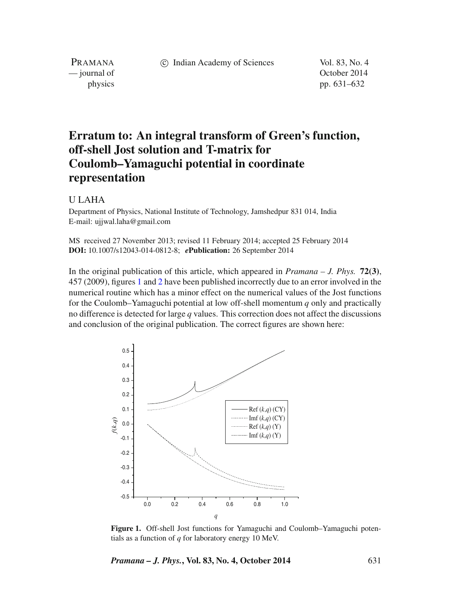c Indian Academy of Sciences Vol. 83, No. 4

PRAMANA<br>
— journal of

October 2014 physics pp. 631–632

## **Erratum to: An integral transform of Green's function, off-shell Jost solution and T-matrix for Coulomb–Yamaguchi potential in coordinate representation**

## U LAHA

Department of Physics, National Institute of Technology, Jamshedpur 831 014, India E-mail: ujjwal.laha@gmail.com

MS received 27 November 2013; revised 11 February 2014; accepted 25 February 2014 **DOI:** 10.1007/s12043-014-0812-8; *e***Publication:** 26 September 2014

In the original publication of this article, which appeared in *Pramana – J. Phys.* **72(3)**, 457 (2009), figures [1](#page-0-0) and [2](#page-1-0) have been published incorrectly due to an error involved in the numerical routine which has a minor effect on the numerical values of the Jost functions for the Coulomb–Yamaguchi potential at low off-shell momentum *q* only and practically no difference is detected for large *q* values. This correction does not affect the discussions and conclusion of the original publication. The correct figures are shown here:

<span id="page-0-0"></span>

**Figure 1.** Off-shell Jost functions for Yamaguchi and Coulomb–Yamaguchi potentials as a function of *q* for laboratory energy 10 MeV.

*Pramana – J. Phys.***, Vol. 83, No. 4, October 2014** 631